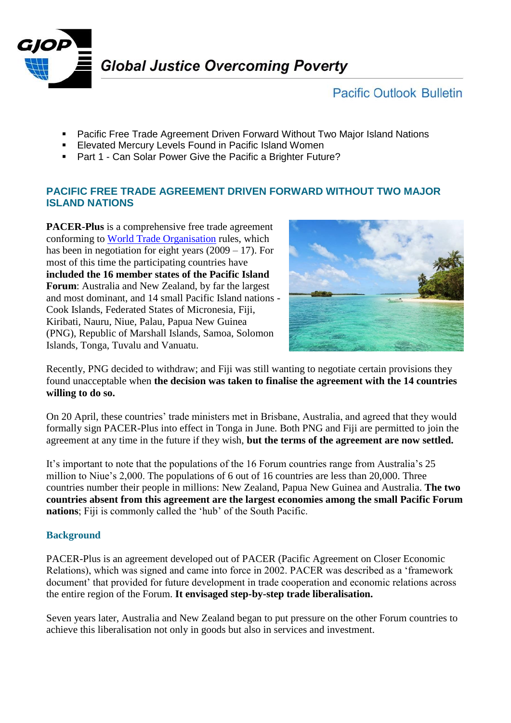

# **Pacific Outlook Bulletin**

- Pacific Free Trade Agreement Driven Forward Without Two Major Island Nations
- **Elevated Mercury Levels Found in Pacific Island Women**
- Part 1 Can Solar Power Give the Pacific a Brighter Future?

## **PACIFIC FREE TRADE AGREEMENT DRIVEN FORWARD WITHOUT TWO MAJOR ISLAND NATIONS**

**PACER-Plus** is a comprehensive free trade agreement conforming to [World Trade Organisation](https://www.wto.org/) rules, which has been in negotiation for eight years (2009 – 17). For most of this time the participating countries have **included the 16 member states of the Pacific Island Forum**: Australia and New Zealand, by far the largest and most dominant, and 14 small Pacific Island nations - Cook Islands, Federated States of Micronesia, Fiji, Kiribati, Nauru, Niue, Palau, Papua New Guinea (PNG), Republic of Marshall Islands, Samoa, Solomon Islands, Tonga, Tuvalu and Vanuatu.



Recently, PNG decided to withdraw; and Fiji was still wanting to negotiate certain provisions they found unacceptable when **the decision was taken to finalise the agreement with the 14 countries willing to do so.**

On 20 April, these countries' trade ministers met in Brisbane, Australia, and agreed that they would formally sign PACER-Plus into effect in Tonga in June. Both PNG and Fiji are permitted to join the agreement at any time in the future if they wish, **but the terms of the agreement are now settled.**

It's important to note that the populations of the 16 Forum countries range from Australia's 25 million to Niue's 2,000. The populations of 6 out of 16 countries are less than 20,000. Three countries number their people in millions: New Zealand, Papua New Guinea and Australia. **The two countries absent from this agreement are the largest economies among the small Pacific Forum nations**; Fiji is commonly called the 'hub' of the South Pacific.

## **Background**

PACER-Plus is an agreement developed out of PACER (Pacific Agreement on Closer Economic Relations), which was signed and came into force in 2002. PACER was described as a 'framework document' that provided for future development in trade cooperation and economic relations across the entire region of the Forum. **It envisaged step-by-step trade liberalisation.**

Seven years later, Australia and New Zealand began to put pressure on the other Forum countries to achieve this liberalisation not only in goods but also in services and investment.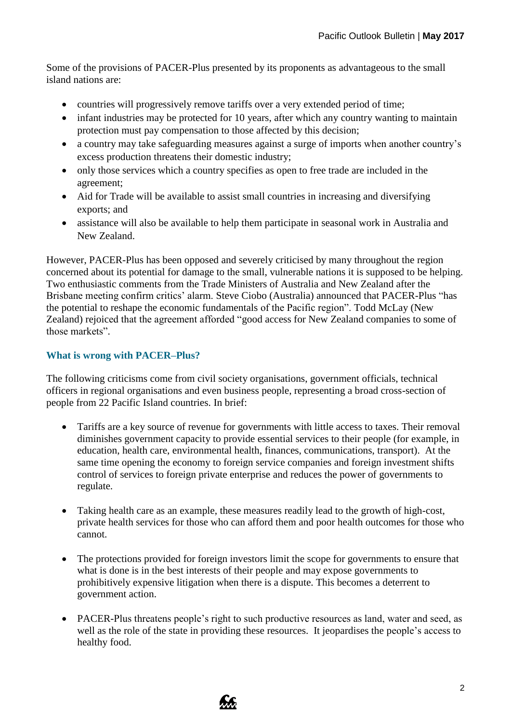Some of the provisions of PACER-Plus presented by its proponents as advantageous to the small island nations are:

- countries will progressively remove tariffs over a very extended period of time;
- infant industries may be protected for 10 years, after which any country wanting to maintain protection must pay compensation to those affected by this decision;
- a country may take safeguarding measures against a surge of imports when another country's excess production threatens their domestic industry;
- only those services which a country specifies as open to free trade are included in the agreement;
- Aid for Trade will be available to assist small countries in increasing and diversifying exports; and
- assistance will also be available to help them participate in seasonal work in Australia and New Zealand.

However, PACER-Plus has been opposed and severely criticised by many throughout the region concerned about its potential for damage to the small, vulnerable nations it is supposed to be helping. Two enthusiastic comments from the Trade Ministers of Australia and New Zealand after the Brisbane meeting confirm critics' alarm. Steve Ciobo (Australia) announced that PACER-Plus "has the potential to reshape the economic fundamentals of the Pacific region". Todd McLay (New Zealand) rejoiced that the agreement afforded "good access for New Zealand companies to some of those markets".

## **What is wrong with PACER–Plus?**

The following criticisms come from civil society organisations, government officials, technical officers in regional organisations and even business people, representing a broad cross-section of people from 22 Pacific Island countries. In brief:

- Tariffs are a key source of revenue for governments with little access to taxes. Their removal diminishes government capacity to provide essential services to their people (for example, in education, health care, environmental health, finances, communications, transport). At the same time opening the economy to foreign service companies and foreign investment shifts control of services to foreign private enterprise and reduces the power of governments to regulate.
- Taking health care as an example, these measures readily lead to the growth of high-cost, private health services for those who can afford them and poor health outcomes for those who cannot.
- The protections provided for foreign investors limit the scope for governments to ensure that what is done is in the best interests of their people and may expose governments to prohibitively expensive litigation when there is a dispute. This becomes a deterrent to government action.
- PACER-Plus threatens people's right to such productive resources as land, water and seed, as well as the role of the state in providing these resources. It jeopardises the people's access to healthy food.

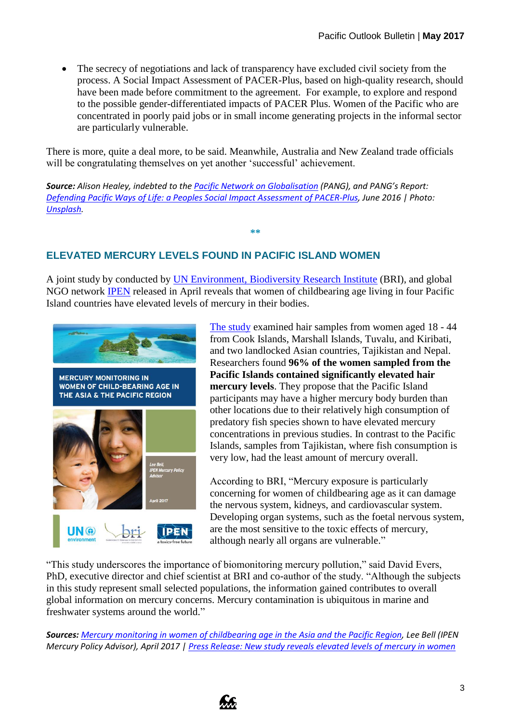The secrecy of negotiations and lack of transparency have excluded civil society from the process. A Social Impact Assessment of PACER-Plus, based on high-quality research, should have been made before commitment to the agreement. For example, to explore and respond to the possible gender-differentiated impacts of PACER Plus. Women of the Pacific who are concentrated in poorly paid jobs or in small income generating projects in the informal sector are particularly vulnerable.

There is more, quite a deal more, to be said. Meanwhile, Australia and New Zealand trade officials will be congratulating themselves on yet another 'successful' achievement.

*Source: Alison Healey, indebted to the [Pacific Network on Globalisation](http://pang.org.fj/) (PANG), and PANG's Report: [Defending Pacific Ways of Life: a Peoples Social Impact Assessment of PACER-Plus,](https://www.dawnnet.org/feminist-resources/sites/default/files/articles/defending_pacific_ways_of_life_full_report_final_2.pdf) June 2016 | Photo: [Unsplash.](https://unsplash.com/@grailsec17/likes?photo=n7DY58YFg9E)*

## **ELEVATED MERCURY LEVELS FOUND IN PACIFIC ISLAND WOMEN**

A joint study by conducted by [UN Environment, Biodiversity Research Institute](http://www.briloon.org/) (BRI), and global NGO network [IPEN](http://ipen.org/) released in April reveals that women of childbearing age living in four Pacific Island countries have elevated levels of mercury in their bodies.

**\*\***



[The study](http://www.briloon.org/uploads/BRI_Documents/Mercury_Center/UNEP%20Projects/Mercury%20Monitoring%20Women%20Asia%20Pacific%20April%2011%20Raw%20data%20ONLINE.pdf) examined hair samples from women aged 18 - 44 from Cook Islands, Marshall Islands, Tuvalu, and Kiribati, and two landlocked Asian countries, Tajikistan and Nepal. Researchers found **96% of the women sampled from the Pacific Islands contained significantly elevated hair mercury levels**. They propose that the Pacific Island participants may have a higher mercury body burden than other locations due to their relatively high consumption of predatory fish species shown to have elevated mercury concentrations in previous studies. In contrast to the Pacific Islands, samples from Tajikistan, where fish consumption is very low, had the least amount of mercury overall.

According to BRI, "Mercury exposure is particularly concerning for women of childbearing age as it can damage the nervous system, kidneys, and cardiovascular system. Developing organ systems, such as the foetal nervous system, are the most sensitive to the toxic effects of mercury, although nearly all organs are vulnerable."

"This study underscores the importance of biomonitoring mercury pollution," said David Evers, PhD, executive director and chief scientist at BRI and co-author of the study. "Although the subjects in this study represent small selected populations, the information gained contributes to overall global information on mercury concerns. Mercury contamination is ubiquitous in marine and freshwater systems around the world."

*Sources: [Mercury monitoring in women of childbearing age in the Asia and the Pacific Region,](http://www.briloon.org/uploads/BRI_Documents/Mercury_Center/UNEP%20Projects/Mercury%20Monitoring%20Women%20Asia%20Pacific%20April%2011%20Raw%20data%20ONLINE.pdf) Lee Bell (IPEN Mercury Policy Advisor), April 2017 [| Press Release: New study reveals elevated levels of mercury in women](http://ipen.org/news/press-release-new-study-reveals-elevated-levels-mercury-women-child-bearing-age-pacific-island)*